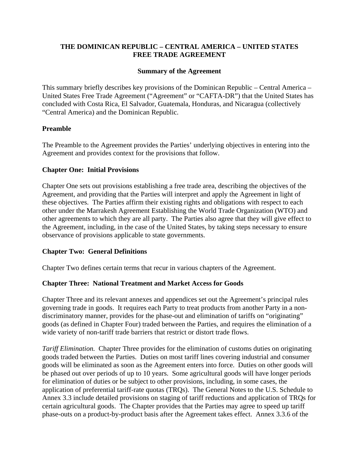# **THE DOMINICAN REPUBLIC – CENTRAL AMERICA – UNITED STATES FREE TRADE AGREEMENT**

#### **Summary of the Agreement**

This summary briefly describes key provisions of the Dominican Republic – Central America – United States Free Trade Agreement ("Agreement" or "CAFTA-DR") that the United States has concluded with Costa Rica, El Salvador, Guatemala, Honduras, and Nicaragua (collectively "Central America) and the Dominican Republic.

#### **Preamble**

The Preamble to the Agreement provides the Parties' underlying objectives in entering into the Agreement and provides context for the provisions that follow.

#### **Chapter One: Initial Provisions**

Chapter One sets out provisions establishing a free trade area, describing the objectives of the Agreement, and providing that the Parties will interpret and apply the Agreement in light of these objectives. The Parties affirm their existing rights and obligations with respect to each other under the Marrakesh Agreement Establishing the World Trade Organization (WTO) and other agreements to which they are all party. The Parties also agree that they will give effect to the Agreement, including, in the case of the United States, by taking steps necessary to ensure observance of provisions applicable to state governments.

# **Chapter Two: General Definitions**

Chapter Two defines certain terms that recur in various chapters of the Agreement.

#### **Chapter Three: National Treatment and Market Access for Goods**

Chapter Three and its relevant annexes and appendices set out the Agreement's principal rules governing trade in goods. It requires each Party to treat products from another Party in a nondiscriminatory manner, provides for the phase-out and elimination of tariffs on "originating" goods (as defined in Chapter Four) traded between the Parties, and requires the elimination of a wide variety of non-tariff trade barriers that restrict or distort trade flows.

*Tariff Elimination.* Chapter Three provides for the elimination of customs duties on originating goods traded between the Parties. Duties on most tariff lines covering industrial and consumer goods will be eliminated as soon as the Agreement enters into force. Duties on other goods will be phased out over periods of up to 10 years. Some agricultural goods will have longer periods for elimination of duties or be subject to other provisions, including, in some cases, the application of preferential tariff-rate quotas (TRQs). The General Notes to the U.S. Schedule to Annex 3.3 include detailed provisions on staging of tariff reductions and application of TRQs for certain agricultural goods. The Chapter provides that the Parties may agree to speed up tariff phase-outs on a product-by-product basis after the Agreement takes effect. Annex 3.3.6 of the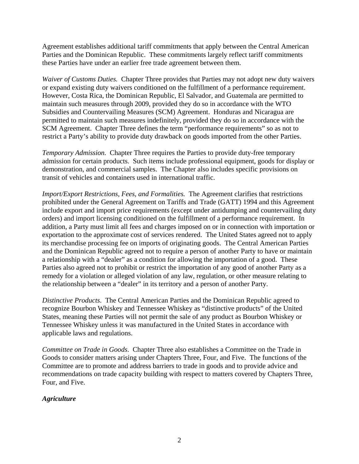Agreement establishes additional tariff commitments that apply between the Central American Parties and the Dominican Republic. These commitments largely reflect tariff commitments these Parties have under an earlier free trade agreement between them.

*Waiver of Customs Duties.* Chapter Three provides that Parties may not adopt new duty waivers or expand existing duty waivers conditioned on the fulfillment of a performance requirement. However, Costa Rica, the Dominican Republic, El Salvador, and Guatemala are permitted to maintain such measures through 2009, provided they do so in accordance with the WTO Subsidies and Countervailing Measures (SCM) Agreement. Honduras and Nicaragua are permitted to maintain such measures indefinitely, provided they do so in accordance with the SCM Agreement. Chapter Three defines the term "performance requirements" so as not to restrict a Party's ability to provide duty drawback on goods imported from the other Parties.

*Temporary Admission.* Chapter Three requires the Parties to provide duty-free temporary admission for certain products. Such items include professional equipment, goods for display or demonstration, and commercial samples. The Chapter also includes specific provisions on transit of vehicles and containers used in international traffic.

*Import/Export Restrictions, Fees, and Formalities.* The Agreement clarifies that restrictions prohibited under the General Agreement on Tariffs and Trade (GATT) 1994 and this Agreement include export and import price requirements (except under antidumping and countervailing duty orders) and import licensing conditioned on the fulfillment of a performance requirement. In addition, a Party must limit all fees and charges imposed on or in connection with importation or exportation to the approximate cost of services rendered. The United States agreed not to apply its merchandise processing fee on imports of originating goods. The Central American Parties and the Dominican Republic agreed not to require a person of another Party to have or maintain a relationship with a "dealer" as a condition for allowing the importation of a good. These Parties also agreed not to prohibit or restrict the importation of any good of another Party as a remedy for a violation or alleged violation of any law, regulation, or other measure relating to the relationship between a "dealer" in its territory and a person of another Party.

*Distinctive Products*. The Central American Parties and the Dominican Republic agreed to recognize Bourbon Whiskey and Tennessee Whiskey as "distinctive products" of the United States, meaning these Parties will not permit the sale of any product as Bourbon Whiskey or Tennessee Whiskey unless it was manufactured in the United States in accordance with applicable laws and regulations.

*Committee on Trade in Goods*. Chapter Three also establishes a Committee on the Trade in Goods to consider matters arising under Chapters Three, Four, and Five. The functions of the Committee are to promote and address barriers to trade in goods and to provide advice and recommendations on trade capacity building with respect to matters covered by Chapters Three, Four, and Five.

# *Agriculture*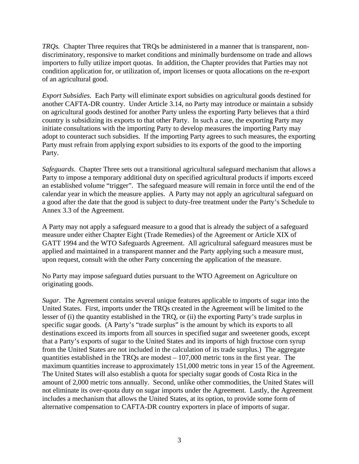*TRQs.* Chapter Three requires that TRQs be administered in a manner that is transparent, nondiscriminatory, responsive to market conditions and minimally burdensome on trade and allows importers to fully utilize import quotas. In addition, the Chapter provides that Parties may not condition application for, or utilization of, import licenses or quota allocations on the re-export of an agricultural good.

*Export Subsidies.* Each Party will eliminate export subsidies on agricultural goods destined for another CAFTA-DR country. Under Article 3.14, no Party may introduce or maintain a subsidy on agricultural goods destined for another Party unless the exporting Party believes that a third country is subsidizing its exports to that other Party. In such a case, the exporting Party may initiate consultations with the importing Party to develop measures the importing Party may adopt to counteract such subsidies. If the importing Party agrees to such measures, the exporting Party must refrain from applying export subsidies to its exports of the good to the importing Party.

*Safeguards*. Chapter Three sets out a transitional agricultural safeguard mechanism that allows a Party to impose a temporary additional duty on specified agricultural products if imports exceed an established volume "trigger". The safeguard measure will remain in force until the end of the calendar year in which the measure applies. A Party may not apply an agricultural safeguard on a good after the date that the good is subject to duty-free treatment under the Party's Schedule to Annex 3.3 of the Agreement.

A Party may not apply a safeguard measure to a good that is already the subject of a safeguard measure under either Chapter Eight (Trade Remedies) of the Agreement or Article XIX of GATT 1994 and the WTO Safeguards Agreement. All agricultural safeguard measures must be applied and maintained in a transparent manner and the Party applying such a measure must, upon request, consult with the other Party concerning the application of the measure.

No Party may impose safeguard duties pursuant to the WTO Agreement on Agriculture on originating goods.

*Sugar*. The Agreement contains several unique features applicable to imports of sugar into the United States. First, imports under the TRQs created in the Agreement will be limited to the lesser of (i) the quantity established in the TRQ, or (ii) the exporting Party's trade surplus in specific sugar goods. (A Party's "trade surplus" is the amount by which its exports to all destinations exceed its imports from all sources in specified sugar and sweetener goods, except that a Party's exports of sugar to the United States and its imports of high fructose corn syrup from the United States are not included in the calculation of its trade surplus.) The aggregate quantities established in the TRQs are modest – 107,000 metric tons in the first year. The maximum quantities increase to approximately 151,000 metric tons in year 15 of the Agreement. The United States will also establish a quota for specialty sugar goods of Costa Rica in the amount of 2,000 metric tons annually. Second, unlike other commodities, the United States will not eliminate its over-quota duty on sugar imports under the Agreement. Lastly, the Agreement includes a mechanism that allows the United States, at its option, to provide some form of alternative compensation to CAFTA-DR country exporters in place of imports of sugar.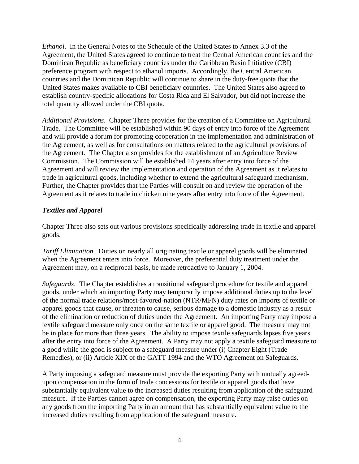*Ethanol*. In the General Notes to the Schedule of the United States to Annex 3.3 of the Agreement, the United States agreed to continue to treat the Central American countries and the Dominican Republic as beneficiary countries under the Caribbean Basin Initiative (CBI) preference program with respect to ethanol imports. Accordingly, the Central American countries and the Dominican Republic will continue to share in the duty-free quota that the United States makes available to CBI beneficiary countries. The United States also agreed to establish country-specific allocations for Costa Rica and El Salvador, but did not increase the total quantity allowed under the CBI quota.

*Additional Provisions*. Chapter Three provides for the creation of a Committee on Agricultural Trade. The Committee will be established within 90 days of entry into force of the Agreement and will provide a forum for promoting cooperation in the implementation and administration of the Agreement, as well as for consultations on matters related to the agricultural provisions of the Agreement. The Chapter also provides for the establishment of an Agriculture Review Commission. The Commission will be established 14 years after entry into force of the Agreement and will review the implementation and operation of the Agreement as it relates to trade in agricultural goods, including whether to extend the agricultural safeguard mechanism. Further, the Chapter provides that the Parties will consult on and review the operation of the Agreement as it relates to trade in chicken nine years after entry into force of the Agreement.

# *Textiles and Apparel*

Chapter Three also sets out various provisions specifically addressing trade in textile and apparel goods.

*Tariff Elimination*. Duties on nearly all originating textile or apparel goods will be eliminated when the Agreement enters into force. Moreover, the preferential duty treatment under the Agreement may, on a reciprocal basis, be made retroactive to January 1, 2004.

*Safeguards*. The Chapter establishes a transitional safeguard procedure for textile and apparel goods, under which an importing Party may temporarily impose additional duties up to the level of the normal trade relations/most-favored-nation (NTR/MFN) duty rates on imports of textile or apparel goods that cause, or threaten to cause, serious damage to a domestic industry as a result of the elimination or reduction of duties under the Agreement. An importing Party may impose a textile safeguard measure only once on the same textile or apparel good. The measure may not be in place for more than three years. The ability to impose textile safeguards lapses five years after the entry into force of the Agreement. A Party may not apply a textile safeguard measure to a good while the good is subject to a safeguard measure under (i) Chapter Eight (Trade Remedies), or (ii) Article XIX of the GATT 1994 and the WTO Agreement on Safeguards.

A Party imposing a safeguard measure must provide the exporting Party with mutually agreedupon compensation in the form of trade concessions for textile or apparel goods that have substantially equivalent value to the increased duties resulting from application of the safeguard measure. If the Parties cannot agree on compensation, the exporting Party may raise duties on any goods from the importing Party in an amount that has substantially equivalent value to the increased duties resulting from application of the safeguard measure.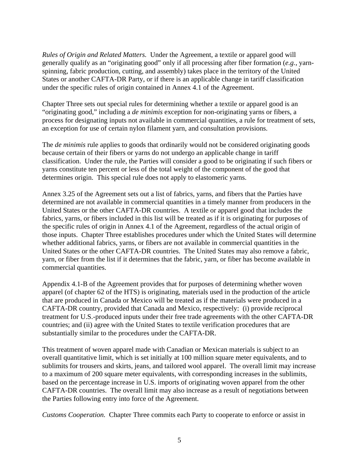*Rules of Origin and Related Matters.* Under the Agreement, a textile or apparel good will generally qualify as an "originating good" only if all processing after fiber formation (*e.g.*, yarnspinning, fabric production, cutting, and assembly) takes place in the territory of the United States or another CAFTA-DR Party, or if there is an applicable change in tariff classification under the specific rules of origin contained in Annex 4.1 of the Agreement.

Chapter Three sets out special rules for determining whether a textile or apparel good is an "originating good," including a *de minimis* exception for non-originating yarns or fibers, a process for designating inputs not available in commercial quantities, a rule for treatment of sets, an exception for use of certain nylon filament yarn, and consultation provisions.

The *de minimis* rule applies to goods that ordinarily would not be considered originating goods because certain of their fibers or yarns do not undergo an applicable change in tariff classification. Under the rule, the Parties will consider a good to be originating if such fibers or yarns constitute ten percent or less of the total weight of the component of the good that determines origin. This special rule does not apply to elastomeric yarns.

Annex 3.25 of the Agreement sets out a list of fabrics, yarns, and fibers that the Parties have determined are not available in commercial quantities in a timely manner from producers in the United States or the other CAFTA-DR countries. A textile or apparel good that includes the fabrics, yarns, or fibers included in this list will be treated as if it is originating for purposes of the specific rules of origin in Annex 4.1 of the Agreement, regardless of the actual origin of those inputs. Chapter Three establishes procedures under which the United States will determine whether additional fabrics, yarns, or fibers are not available in commercial quantities in the United States or the other CAFTA-DR countries. The United States may also remove a fabric, yarn, or fiber from the list if it determines that the fabric, yarn, or fiber has become available in commercial quantities.

Appendix 4.1-B of the Agreement provides that for purposes of determining whether woven apparel (of chapter 62 of the HTS) is originating, materials used in the production of the article that are produced in Canada or Mexico will be treated as if the materials were produced in a CAFTA-DR country, provided that Canada and Mexico, respectively: (i) provide reciprocal treatment for U.S.-produced inputs under their free trade agreements with the other CAFTA-DR countries; and (ii) agree with the United States to textile verification procedures that are substantially similar to the procedures under the CAFTA-DR.

This treatment of woven apparel made with Canadian or Mexican materials is subject to an overall quantitative limit, which is set initially at 100 million square meter equivalents, and to sublimits for trousers and skirts, jeans, and tailored wool apparel. The overall limit may increase to a maximum of 200 square meter equivalents, with corresponding increases in the sublimits, based on the percentage increase in U.S. imports of originating woven apparel from the other CAFTA-DR countries. The overall limit may also increase as a result of negotiations between the Parties following entry into force of the Agreement.

*Customs Cooperation.* Chapter Three commits each Party to cooperate to enforce or assist in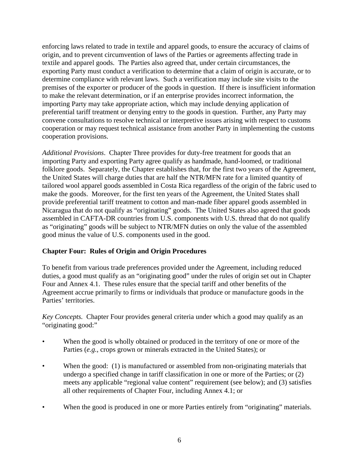enforcing laws related to trade in textile and apparel goods, to ensure the accuracy of claims of origin, and to prevent circumvention of laws of the Parties or agreements affecting trade in textile and apparel goods. The Parties also agreed that, under certain circumstances, the exporting Party must conduct a verification to determine that a claim of origin is accurate, or to determine compliance with relevant laws. Such a verification may include site visits to the premises of the exporter or producer of the goods in question. If there is insufficient information to make the relevant determination, or if an enterprise provides incorrect information, the importing Party may take appropriate action, which may include denying application of preferential tariff treatment or denying entry to the goods in question. Further, any Party may convene consultations to resolve technical or interpretive issues arising with respect to customs cooperation or may request technical assistance from another Party in implementing the customs cooperation provisions.

*Additional Provisions*. Chapter Three provides for duty-free treatment for goods that an importing Party and exporting Party agree qualify as handmade, hand-loomed, or traditional folklore goods. Separately, the Chapter establishes that, for the first two years of the Agreement, the United States will charge duties that are half the NTR/MFN rate for a limited quantity of tailored wool apparel goods assembled in Costa Rica regardless of the origin of the fabric used to make the goods. Moreover, for the first ten years of the Agreement, the United States shall provide preferential tariff treatment to cotton and man-made fiber apparel goods assembled in Nicaragua that do not qualify as "originating" goods. The United States also agreed that goods assembled in CAFTA-DR countries from U.S. components with U.S. thread that do not qualify as "originating" goods will be subject to NTR/MFN duties on only the value of the assembled good minus the value of U.S. components used in the good.

# **Chapter Four: Rules of Origin and Origin Procedures**

To benefit from various trade preferences provided under the Agreement, including reduced duties, a good must qualify as an "originating good" under the rules of origin set out in Chapter Four and Annex 4.1. These rules ensure that the special tariff and other benefits of the Agreement accrue primarily to firms or individuals that produce or manufacture goods in the Parties' territories.

*Key Concepts.* Chapter Four provides general criteria under which a good may qualify as an "originating good:"

- When the good is wholly obtained or produced in the territory of one or more of the Parties (*e.g.*, crops grown or minerals extracted in the United States); or
- When the good: (1) is manufactured or assembled from non-originating materials that undergo a specified change in tariff classification in one or more of the Parties; or (2) meets any applicable "regional value content" requirement (see below); and (3) satisfies all other requirements of Chapter Four, including Annex 4.1; or
- When the good is produced in one or more Parties entirely from "originating" materials.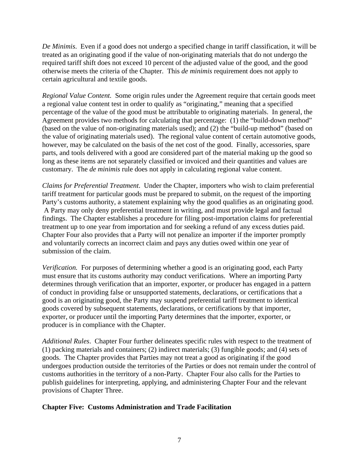*De Minimis*. Even if a good does not undergo a specified change in tariff classification, it will be treated as an originating good if the value of non-originating materials that do not undergo the required tariff shift does not exceed 10 percent of the adjusted value of the good, and the good otherwise meets the criteria of the Chapter. This *de minimis* requirement does not apply to certain agricultural and textile goods.

*Regional Value Content.* Some origin rules under the Agreement require that certain goods meet a regional value content test in order to qualify as "originating," meaning that a specified percentage of the value of the good must be attributable to originating materials. In general, the Agreement provides two methods for calculating that percentage: (1) the "build-down method" (based on the value of non-originating materials used); and (2) the "build-up method" (based on the value of originating materials used). The regional value content of certain automotive goods, however, may be calculated on the basis of the net cost of the good. Finally, accessories, spare parts, and tools delivered with a good are considered part of the material making up the good so long as these items are not separately classified or invoiced and their quantities and values are customary. The *de minimis* rule does not apply in calculating regional value content.

*Claims for Preferential Treatment*. Under the Chapter, importers who wish to claim preferential tariff treatment for particular goods must be prepared to submit, on the request of the importing Party's customs authority, a statement explaining why the good qualifies as an originating good. A Party may only deny preferential treatment in writing, and must provide legal and factual findings. The Chapter establishes a procedure for filing post-importation claims for preferential treatment up to one year from importation and for seeking a refund of any excess duties paid. Chapter Four also provides that a Party will not penalize an importer if the importer promptly and voluntarily corrects an incorrect claim and pays any duties owed within one year of submission of the claim.

*Verification.* For purposes of determining whether a good is an originating good, each Party must ensure that its customs authority may conduct verifications. Where an importing Party determines through verification that an importer, exporter, or producer has engaged in a pattern of conduct in providing false or unsupported statements, declarations, or certifications that a good is an originating good, the Party may suspend preferential tariff treatment to identical goods covered by subsequent statements, declarations, or certifications by that importer, exporter, or producer until the importing Party determines that the importer, exporter, or producer is in compliance with the Chapter.

*Additional Rules*. Chapter Four further delineates specific rules with respect to the treatment of (1) packing materials and containers; (2) indirect materials; (3) fungible goods; and (4) sets of goods. The Chapter provides that Parties may not treat a good as originating if the good undergoes production outside the territories of the Parties or does not remain under the control of customs authorities in the territory of a non-Party. Chapter Four also calls for the Parties to publish guidelines for interpreting, applying, and administering Chapter Four and the relevant provisions of Chapter Three.

#### **Chapter Five: Customs Administration and Trade Facilitation**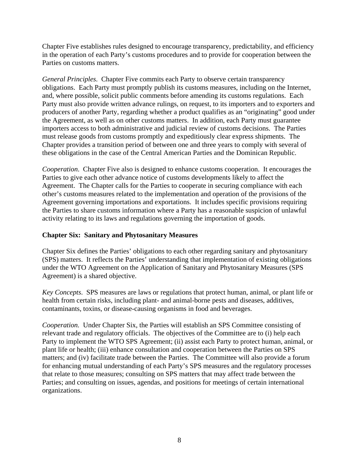Chapter Five establishes rules designed to encourage transparency, predictability, and efficiency in the operation of each Party's customs procedures and to provide for cooperation between the Parties on customs matters.

*General Principles*. Chapter Five commits each Party to observe certain transparency obligations. Each Party must promptly publish its customs measures, including on the Internet, and, where possible, solicit public comments before amending its customs regulations. Each Party must also provide written advance rulings, on request, to its importers and to exporters and producers of another Party, regarding whether a product qualifies as an "originating" good under the Agreement, as well as on other customs matters. In addition, each Party must guarantee importers access to both administrative and judicial review of customs decisions. The Parties must release goods from customs promptly and expeditiously clear express shipments. The Chapter provides a transition period of between one and three years to comply with several of these obligations in the case of the Central American Parties and the Dominican Republic.

*Cooperation*. Chapter Five also is designed to enhance customs cooperation. It encourages the Parties to give each other advance notice of customs developments likely to affect the Agreement. The Chapter calls for the Parties to cooperate in securing compliance with each other's customs measures related to the implementation and operation of the provisions of the Agreement governing importations and exportations. It includes specific provisions requiring the Parties to share customs information where a Party has a reasonable suspicion of unlawful activity relating to its laws and regulations governing the importation of goods.

# **Chapter Six: Sanitary and Phytosanitary Measures**

Chapter Six defines the Parties' obligations to each other regarding sanitary and phytosanitary (SPS) matters. It reflects the Parties' understanding that implementation of existing obligations under the WTO Agreement on the Application of Sanitary and Phytosanitary Measures (SPS Agreement) is a shared objective.

*Key Concepts*. SPS measures are laws or regulations that protect human, animal, or plant life or health from certain risks, including plant- and animal-borne pests and diseases, additives, contaminants, toxins, or disease-causing organisms in food and beverages.

*Cooperation.* Under Chapter Six, the Parties will establish an SPS Committee consisting of relevant trade and regulatory officials. The objectives of the Committee are to (i) help each Party to implement the WTO SPS Agreement; (ii) assist each Party to protect human, animal, or plant life or health; (iii) enhance consultation and cooperation between the Parties on SPS matters; and (iv) facilitate trade between the Parties. The Committee will also provide a forum for enhancing mutual understanding of each Party's SPS measures and the regulatory processes that relate to those measures; consulting on SPS matters that may affect trade between the Parties; and consulting on issues, agendas, and positions for meetings of certain international organizations.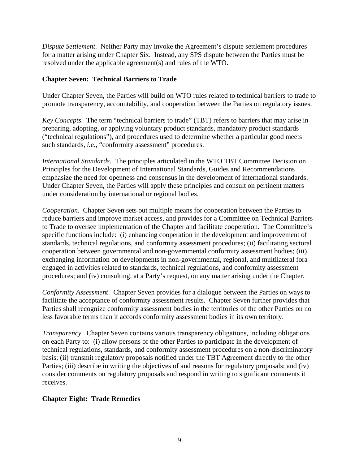*Dispute Settlement*. Neither Party may invoke the Agreement's dispute settlement procedures for a matter arising under Chapter Six. Instead, any SPS dispute between the Parties must be resolved under the applicable agreement(s) and rules of the WTO.

# **Chapter Seven: Technical Barriers to Trade**

Under Chapter Seven, the Parties will build on WTO rules related to technical barriers to trade to promote transparency, accountability, and cooperation between the Parties on regulatory issues.

*Key Concepts*. The term "technical barriers to trade" (TBT) refers to barriers that may arise in preparing, adopting, or applying voluntary product standards, mandatory product standards ("technical regulations"), and procedures used to determine whether a particular good meets such standards, *i.e.*, "conformity assessment" procedures.

*International Standards*. The principles articulated in the WTO TBT Committee Decision on Principles for the Development of International Standards, Guides and Recommendations emphasize the need for openness and consensus in the development of international standards. Under Chapter Seven, the Parties will apply these principles and consult on pertinent matters under consideration by international or regional bodies.

*Cooperation*. Chapter Seven sets out multiple means for cooperation between the Parties to reduce barriers and improve market access, and provides for a Committee on Technical Barriers to Trade to oversee implementation of the Chapter and facilitate cooperation. The Committee's specific functions include: (i) enhancing cooperation in the development and improvement of standards, technical regulations, and conformity assessment procedures; (ii) facilitating sectoral cooperation between governmental and non-governmental conformity assessment bodies; (iii) exchanging information on developments in non-governmental, regional, and multilateral fora engaged in activities related to standards, technical regulations, and conformity assessment procedures; and (iv) consulting, at a Party's request, on any matter arising under the Chapter.

*Conformity Assessment*. Chapter Seven provides for a dialogue between the Parties on ways to facilitate the acceptance of conformity assessment results. Chapter Seven further provides that Parties shall recognize conformity assessment bodies in the territories of the other Parties on no less favorable terms than it accords conformity assessment bodies in its own territory.

*Transparency*. Chapter Seven contains various transparency obligations, including obligations on each Party to: (i) allow persons of the other Parties to participate in the development of technical regulations, standards, and conformity assessment procedures on a non-discriminatory basis; (ii) transmit regulatory proposals notified under the TBT Agreement directly to the other Parties; (iii) describe in writing the objectives of and reasons for regulatory proposals; and (iv) consider comments on regulatory proposals and respond in writing to significant comments it receives.

# **Chapter Eight: Trade Remedies**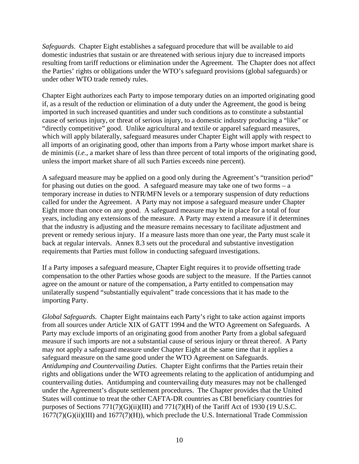*Safeguards.* Chapter Eight establishes a safeguard procedure that will be available to aid domestic industries that sustain or are threatened with serious injury due to increased imports resulting from tariff reductions or elimination under the Agreement. The Chapter does not affect the Parties' rights or obligations under the WTO's safeguard provisions (global safeguards) or under other WTO trade remedy rules.

Chapter Eight authorizes each Party to impose temporary duties on an imported originating good if, as a result of the reduction or elimination of a duty under the Agreement, the good is being imported in such increased quantities and under such conditions as to constitute a substantial cause of serious injury, or threat of serious injury, to a domestic industry producing a "like" or "directly competitive" good. Unlike agricultural and textile or apparel safeguard measures, which will apply bilaterally, safeguard measures under Chapter Eight will apply with respect to all imports of an originating good, other than imports from a Party whose import market share is de minimis (*i.e.*, a market share of less than three percent of total imports of the originating good, unless the import market share of all such Parties exceeds nine percent).

A safeguard measure may be applied on a good only during the Agreement's "transition period" for phasing out duties on the good. A safeguard measure may take one of two forms – a temporary increase in duties to NTR/MFN levels or a temporary suspension of duty reductions called for under the Agreement. A Party may not impose a safeguard measure under Chapter Eight more than once on any good. A safeguard measure may be in place for a total of four years, including any extensions of the measure. A Party may extend a measure if it determines that the industry is adjusting and the measure remains necessary to facilitate adjustment and prevent or remedy serious injury. If a measure lasts more than one year, the Party must scale it back at regular intervals. Annex 8.3 sets out the procedural and substantive investigation requirements that Parties must follow in conducting safeguard investigations.

If a Party imposes a safeguard measure, Chapter Eight requires it to provide offsetting trade compensation to the other Parties whose goods are subject to the measure. If the Parties cannot agree on the amount or nature of the compensation, a Party entitled to compensation may unilaterally suspend "substantially equivalent" trade concessions that it has made to the importing Party.

*Global Safeguards.* Chapter Eight maintains each Party's right to take action against imports from all sources under Article XIX of GATT 1994 and the WTO Agreement on Safeguards. A Party may exclude imports of an originating good from another Party from a global safeguard measure if such imports are not a substantial cause of serious injury or threat thereof. A Party may not apply a safeguard measure under Chapter Eight at the same time that it applies a safeguard measure on the same good under the WTO Agreement on Safeguards. *Antidumping and Countervailing Duties.* Chapter Eight confirms that the Parties retain their rights and obligations under the WTO agreements relating to the application of antidumping and countervailing duties. Antidumping and countervailing duty measures may not be challenged under the Agreement's dispute settlement procedures. The Chapter provides that the United States will continue to treat the other CAFTA-DR countries as CBI beneficiary countries for purposes of Sections  $771(7)(G)(ii)(III)$  and  $771(7)(H)$  of the Tariff Act of 1930 (19 U.S.C. 1677(7)(G)(ii)(III) and 1677(7)(H)), which preclude the U.S. International Trade Commission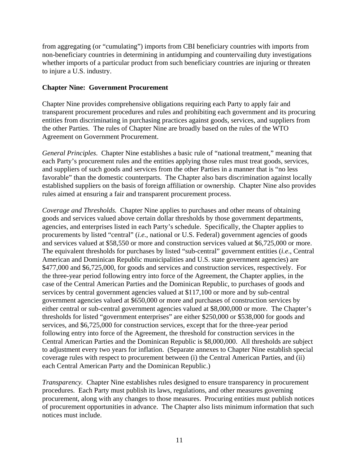from aggregating (or "cumulating") imports from CBI beneficiary countries with imports from non-beneficiary countries in determining in antidumping and countervailing duty investigations whether imports of a particular product from such beneficiary countries are injuring or threaten to injure a U.S. industry.

#### **Chapter Nine: Government Procurement**

Chapter Nine provides comprehensive obligations requiring each Party to apply fair and transparent procurement procedures and rules and prohibiting each government and its procuring entities from discriminating in purchasing practices against goods, services, and suppliers from the other Parties. The rules of Chapter Nine are broadly based on the rules of the WTO Agreement on Government Procurement.

*General Principles*. Chapter Nine establishes a basic rule of "national treatment," meaning that each Party's procurement rules and the entities applying those rules must treat goods, services, and suppliers of such goods and services from the other Parties in a manner that is "no less favorable" than the domestic counterparts. The Chapter also bars discrimination against locally established suppliers on the basis of foreign affiliation or ownership. Chapter Nine also provides rules aimed at ensuring a fair and transparent procurement process.

*Coverage and Thresholds.* Chapter Nine applies to purchases and other means of obtaining goods and services valued above certain dollar thresholds by those government departments, agencies, and enterprises listed in each Party's schedule. Specifically, the Chapter applies to procurements by listed "central" (*i.e.*, national or U.S. Federal) government agencies of goods and services valued at \$58,550 or more and construction services valued at \$6,725,000 or more. The equivalent thresholds for purchases by listed "sub-central" government entities (*i.e*., Central American and Dominican Republic municipalities and U.S. state government agencies) are \$477,000 and \$6,725,000, for goods and services and construction services, respectively. For the three-year period following entry into force of the Agreement, the Chapter applies, in the case of the Central American Parties and the Dominican Republic, to purchases of goods and services by central government agencies valued at \$117,100 or more and by sub-central government agencies valued at \$650,000 or more and purchases of construction services by either central or sub-central government agencies valued at \$8,000,000 or more. The Chapter's thresholds for listed "government enterprises" are either \$250,000 or \$538,000 for goods and services, and \$6,725,000 for construction services, except that for the three-year period following entry into force of the Agreement, the threshold for construction services in the Central American Parties and the Dominican Republic is \$8,000,000. All thresholds are subject to adjustment every two years for inflation. (Separate annexes to Chapter Nine establish special coverage rules with respect to procurement between (i) the Central American Parties, and (ii) each Central American Party and the Dominican Republic.)

*Transparency.* Chapter Nine establishes rules designed to ensure transparency in procurement procedures. Each Party must publish its laws, regulations, and other measures governing procurement, along with any changes to those measures. Procuring entities must publish notices of procurement opportunities in advance. The Chapter also lists minimum information that such notices must include.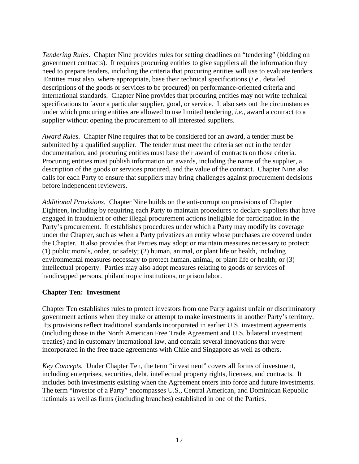*Tendering Rules*. Chapter Nine provides rules for setting deadlines on "tendering" (bidding on government contracts). It requires procuring entities to give suppliers all the information they need to prepare tenders, including the criteria that procuring entities will use to evaluate tenders. Entities must also, where appropriate, base their technical specifications (*i.e*., detailed descriptions of the goods or services to be procured) on performance-oriented criteria and international standards. Chapter Nine provides that procuring entities may not write technical specifications to favor a particular supplier, good, or service. It also sets out the circumstances under which procuring entities are allowed to use limited tendering, *i.e.*, award a contract to a supplier without opening the procurement to all interested suppliers.

*Award Rules*. Chapter Nine requires that to be considered for an award, a tender must be submitted by a qualified supplier. The tender must meet the criteria set out in the tender documentation, and procuring entities must base their award of contracts on those criteria. Procuring entities must publish information on awards, including the name of the supplier, a description of the goods or services procured, and the value of the contract. Chapter Nine also calls for each Party to ensure that suppliers may bring challenges against procurement decisions before independent reviewers.

*Additional Provisions.* Chapter Nine builds on the anti-corruption provisions of Chapter Eighteen, including by requiring each Party to maintain procedures to declare suppliers that have engaged in fraudulent or other illegal procurement actions ineligible for participation in the Party's procurement. It establishes procedures under which a Party may modify its coverage under the Chapter, such as when a Party privatizes an entity whose purchases are covered under the Chapter. It also provides that Parties may adopt or maintain measures necessary to protect: (1) public morals, order, or safety; (2) human, animal, or plant life or health, including environmental measures necessary to protect human, animal, or plant life or health; or (3) intellectual property. Parties may also adopt measures relating to goods or services of handicapped persons, philanthropic institutions, or prison labor.

# **Chapter Ten: Investment**

Chapter Ten establishes rules to protect investors from one Party against unfair or discriminatory government actions when they make or attempt to make investments in another Party's territory. Its provisions reflect traditional standards incorporated in earlier U.S. investment agreements (including those in the North American Free Trade Agreement and U.S. bilateral investment treaties) and in customary international law, and contain several innovations that were incorporated in the free trade agreements with Chile and Singapore as well as others.

*Key Concepts.* Under Chapter Ten, the term "investment" covers all forms of investment, including enterprises, securities, debt, intellectual property rights, licenses, and contracts. It includes both investments existing when the Agreement enters into force and future investments. The term "investor of a Party" encompasses U.S., Central American, and Dominican Republic nationals as well as firms (including branches) established in one of the Parties.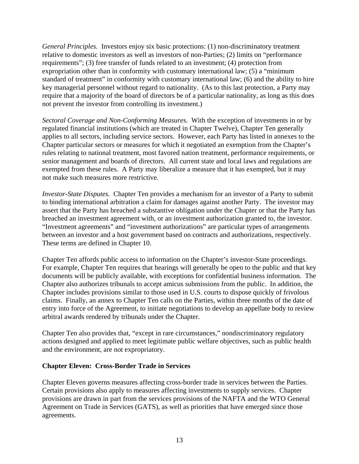*General Principles.* Investors enjoy six basic protections: (1) non-discriminatory treatment relative to domestic investors as well as investors of non-Parties; (2) limits on "performance requirements"; (3) free transfer of funds related to an investment; (4) protection from expropriation other than in conformity with customary international law; (5) a "minimum standard of treatment" in conformity with customary international law; (6) and the ability to hire key managerial personnel without regard to nationality. (As to this last protection, a Party may require that a majority of the board of directors be of a particular nationality, as long as this does not prevent the investor from controlling its investment.)

*Sectoral Coverage and Non-Conforming Measures.* With the exception of investments in or by regulated financial institutions (which are treated in Chapter Twelve), Chapter Ten generally applies to all sectors, including service sectors. However, each Party has listed in annexes to the Chapter particular sectors or measures for which it negotiated an exemption from the Chapter's rules relating to national treatment, most favored nation treatment, performance requirements, or senior management and boards of directors. All current state and local laws and regulations are exempted from these rules. A Party may liberalize a measure that it has exempted, but it may not make such measures more restrictive.

*Investor-State Disputes.* Chapter Ten provides a mechanism for an investor of a Party to submit to binding international arbitration a claim for damages against another Party. The investor may assert that the Party has breached a substantive obligation under the Chapter or that the Party has breached an investment agreement with, or an investment authorization granted to, the investor. "Investment agreements" and "investment authorizations" are particular types of arrangements between an investor and a host government based on contracts and authorizations, respectively. These terms are defined in Chapter 10.

Chapter Ten affords public access to information on the Chapter's investor-State proceedings. For example, Chapter Ten requires that hearings will generally be open to the public and that key documents will be publicly available, with exceptions for confidential business information. The Chapter also authorizes tribunals to accept amicus submissions from the public. In addition, the Chapter includes provisions similar to those used in U.S. courts to dispose quickly of frivolous claims. Finally, an annex to Chapter Ten calls on the Parties, within three months of the date of entry into force of the Agreement, to initiate negotiations to develop an appellate body to review arbitral awards rendered by tribunals under the Chapter.

Chapter Ten also provides that, "except in rare circumstances," nondiscriminatory regulatory actions designed and applied to meet legitimate public welfare objectives, such as public health and the environment, are not expropriatory.

# **Chapter Eleven: Cross-Border Trade in Services**

Chapter Eleven governs measures affecting cross-border trade in services between the Parties. Certain provisions also apply to measures affecting investments to supply services. Chapter provisions are drawn in part from the services provisions of the NAFTA and the WTO General Agreement on Trade in Services (GATS), as well as priorities that have emerged since those agreements.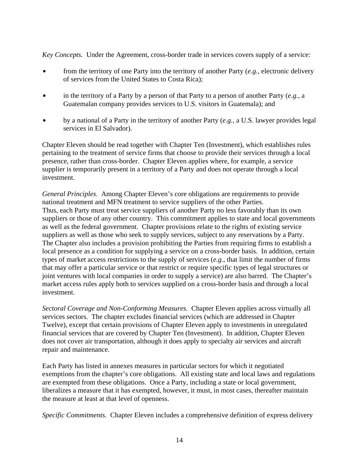*Key Concepts.* Under the Agreement, cross-border trade in services covers supply of a service:

- \$ from the territory of one Party into the territory of another Party (*e.g.,* electronic delivery of services from the United States to Costa Rica);
- in the territory of a Party by a person of that Party to a person of another Party  $(e.g., a$ Guatemalan company provides services to U.S. visitors in Guatemala); and
- by a national of a Party in the territory of another Party (*e.g.*, a U.S. lawyer provides legal services in El Salvador).

Chapter Eleven should be read together with Chapter Ten (Investment), which establishes rules pertaining to the treatment of service firms that choose to provide their services through a local presence, rather than cross-border. Chapter Eleven applies where, for example, a service supplier is temporarily present in a territory of a Party and does not operate through a local investment.

*General Principles.* Among Chapter Eleven's core obligations are requirements to provide national treatment and MFN treatment to service suppliers of the other Parties. Thus, each Party must treat service suppliers of another Party no less favorably than its own suppliers or those of any other country. This commitment applies to state and local governments as well as the federal government. Chapter provisions relate to the rights of existing service suppliers as well as those who seek to supply services, subject to any reservations by a Party. The Chapter also includes a provision prohibiting the Parties from requiring firms to establish a local presence as a condition for supplying a service on a cross-border basis. In addition, certain types of market access restrictions to the supply of services (*e.g.*, that limit the number of firms that may offer a particular service or that restrict or require specific types of legal structures or joint ventures with local companies in order to supply a service) are also barred. The Chapter's market access rules apply both to services supplied on a cross-border basis and through a local investment.

*Sectoral Coverage and Non-Conforming Measures.* Chapter Eleven applies across virtually all services sectors. The chapter excludes financial services (which are addressed in Chapter Twelve), except that certain provisions of Chapter Eleven apply to investments in unregulated financial services that are covered by Chapter Ten (Investment). In addition, Chapter Eleven does not cover air transportation, although it does apply to specialty air services and aircraft repair and maintenance.

Each Party has listed in annexes measures in particular sectors for which it negotiated exemptions from the chapter's core obligations. All existing state and local laws and regulations are exempted from these obligations. Once a Party, including a state or local government, liberalizes a measure that it has exempted, however, it must, in most cases, thereafter maintain the measure at least at that level of openness.

*Specific Commitments*. Chapter Eleven includes a comprehensive definition of express delivery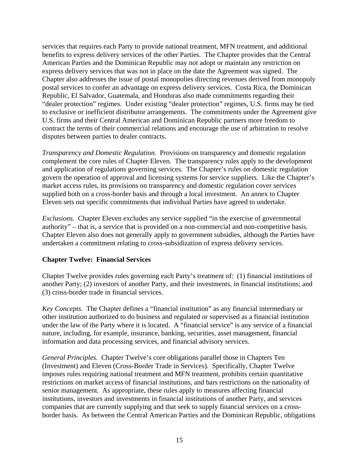services that requires each Party to provide national treatment, MFN treatment, and additional benefits to express delivery services of the other Parties. The Chapter provides that the Central American Parties and the Dominican Republic may not adopt or maintain any restriction on express delivery services that was not in place on the date the Agreement was signed. The Chapter also addresses the issue of postal monopolies directing revenues derived from monopoly postal services to confer an advantage on express delivery services. Costa Rica, the Dominican Republic, El Salvador, Guatemala, and Honduras also made commitments regarding their "dealer protection" regimes. Under existing "dealer protection" regimes, U.S. firms may be tied to exclusive or inefficient distributor arrangements. The commitments under the Agreement give U.S. firms and their Central American and Dominican Republic partners more freedom to contract the terms of their commercial relations and encourage the use of arbitration to resolve disputes between parties to dealer contracts.

*Transparency and Domestic Regulation.* Provisions on transparency and domestic regulation complement the core rules of Chapter Eleven. The transparency rules apply to the development and application of regulations governing services. The Chapter's rules on domestic regulation govern the operation of approval and licensing systems for service suppliers. Like the Chapter's market access rules, its provisions on transparency and domestic regulation cover services supplied both on a cross-border basis and through a local investment. An annex to Chapter Eleven sets out specific commitments that individual Parties have agreed to undertake.

*Exclusions.* Chapter Eleven excludes any service supplied "in the exercise of governmental authority" – that is, a service that is provided on a non-commercial and non-competitive basis. Chapter Eleven also does not generally apply to government subsidies, although the Parties have undertaken a commitment relating to cross-subsidization of express delivery services.

# **Chapter Twelve: Financial Services**

Chapter Twelve provides rules governing each Party's treatment of: (1) financial institutions of another Party; (2) investors of another Party, and their investments, in financial institutions; and (3) cross-border trade in financial services.

*Key Concepts.* The Chapter defines a "financial institution" as any financial intermediary or other institution authorized to do business and regulated or supervised as a financial institution under the law of the Party where it is located. A "financial service" is any service of a financial nature, including, for example, insurance, banking, securities, asset management, financial information and data processing services, and financial advisory services.

*General Principles*. Chapter Twelve's core obligations parallel those in Chapters Ten (Investment) and Eleven (Cross-Border Trade in Services). Specifically, Chapter Twelve imposes rules requiring national treatment and MFN treatment, prohibits certain quantitative restrictions on market access of financial institutions, and bars restrictions on the nationality of senior management. As appropriate, these rules apply to measures affecting financial institutions, investors and investments in financial institutions of another Party, and services companies that are currently supplying and that seek to supply financial services on a crossborder basis. As between the Central American Parties and the Dominican Republic, obligations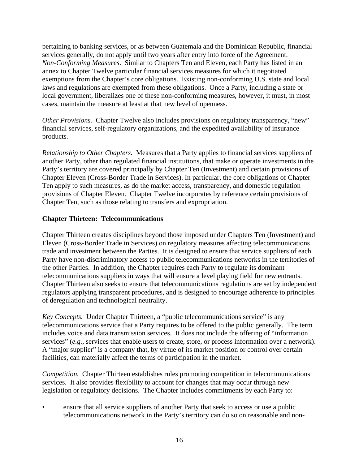pertaining to banking services, or as between Guatemala and the Dominican Republic, financial services generally, do not apply until two years after entry into force of the Agreement. *Non-Conforming Measures*. Similar to Chapters Ten and Eleven, each Party has listed in an annex to Chapter Twelve particular financial services measures for which it negotiated exemptions from the Chapter's core obligations. Existing non-conforming U.S. state and local laws and regulations are exempted from these obligations. Once a Party, including a state or local government, liberalizes one of these non-conforming measures, however, it must, in most cases, maintain the measure at least at that new level of openness.

*Other Provisions.* Chapter Twelve also includes provisions on regulatory transparency, "new" financial services, self-regulatory organizations, and the expedited availability of insurance products.

*Relationship to Other Chapters.* Measures that a Party applies to financial services suppliers of another Party, other than regulated financial institutions, that make or operate investments in the Party's territory are covered principally by Chapter Ten (Investment) and certain provisions of Chapter Eleven (Cross-Border Trade in Services). In particular, the core obligations of Chapter Ten apply to such measures, as do the market access, transparency, and domestic regulation provisions of Chapter Eleven. Chapter Twelve incorporates by reference certain provisions of Chapter Ten, such as those relating to transfers and expropriation.

#### **Chapter Thirteen: Telecommunications**

Chapter Thirteen creates disciplines beyond those imposed under Chapters Ten (Investment) and Eleven (Cross-Border Trade in Services) on regulatory measures affecting telecommunications trade and investment between the Parties. It is designed to ensure that service suppliers of each Party have non-discriminatory access to public telecommunications networks in the territories of the other Parties. In addition, the Chapter requires each Party to regulate its dominant telecommunications suppliers in ways that will ensure a level playing field for new entrants. Chapter Thirteen also seeks to ensure that telecommunications regulations are set by independent regulators applying transparent procedures, and is designed to encourage adherence to principles of deregulation and technological neutrality.

*Key Concepts.* Under Chapter Thirteen, a "public telecommunications service" is any telecommunications service that a Party requires to be offered to the public generally. The term includes voice and data transmission services. It does not include the offering of "information services" (*e.g.,* services that enable users to create, store, or process information over a network). A "major supplier" is a company that, by virtue of its market position or control over certain facilities, can materially affect the terms of participation in the market.

*Competition.* Chapter Thirteen establishes rules promoting competition in telecommunications services. It also provides flexibility to account for changes that may occur through new legislation or regulatory decisions. The Chapter includes commitments by each Party to:

ensure that all service suppliers of another Party that seek to access or use a public telecommunications network in the Party's territory can do so on reasonable and non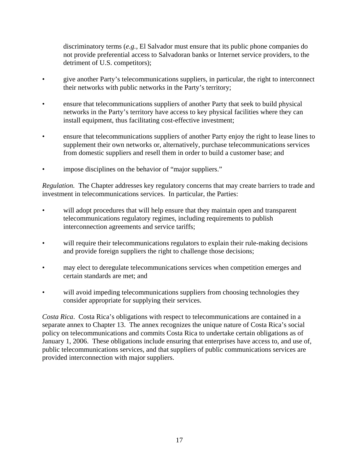discriminatory terms (*e.g.*, El Salvador must ensure that its public phone companies do not provide preferential access to Salvadoran banks or Internet service providers, to the detriment of U.S. competitors);

- give another Party's telecommunications suppliers, in particular, the right to interconnect their networks with public networks in the Party's territory;
- ensure that telecommunications suppliers of another Party that seek to build physical networks in the Party's territory have access to key physical facilities where they can install equipment, thus facilitating cost-effective investment;
- ensure that telecommunications suppliers of another Party enjoy the right to lease lines to supplement their own networks or, alternatively, purchase telecommunications services from domestic suppliers and resell them in order to build a customer base; and
- impose disciplines on the behavior of "major suppliers."

*Regulation.* The Chapter addresses key regulatory concerns that may create barriers to trade and investment in telecommunications services. In particular, the Parties:

- will adopt procedures that will help ensure that they maintain open and transparent telecommunications regulatory regimes, including requirements to publish interconnection agreements and service tariffs;
- will require their telecommunications regulators to explain their rule-making decisions and provide foreign suppliers the right to challenge those decisions;
- may elect to deregulate telecommunications services when competition emerges and certain standards are met; and
- will avoid impeding telecommunications suppliers from choosing technologies they consider appropriate for supplying their services.

*Costa Rica*. Costa Rica's obligations with respect to telecommunications are contained in a separate annex to Chapter 13. The annex recognizes the unique nature of Costa Rica's social policy on telecommunications and commits Costa Rica to undertake certain obligations as of January 1, 2006. These obligations include ensuring that enterprises have access to, and use of, public telecommunications services, and that suppliers of public communications services are provided interconnection with major suppliers.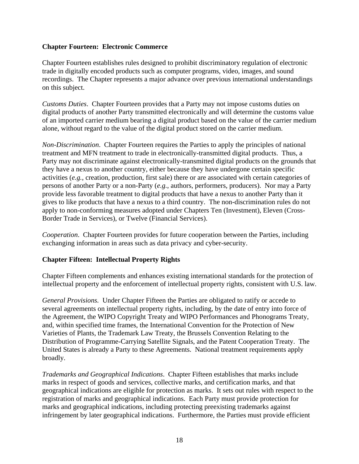# **Chapter Fourteen: Electronic Commerce**

Chapter Fourteen establishes rules designed to prohibit discriminatory regulation of electronic trade in digitally encoded products such as computer programs, video, images, and sound recordings. The Chapter represents a major advance over previous international understandings on this subject.

*Customs Duties*. Chapter Fourteen provides that a Party may not impose customs duties on digital products of another Party transmitted electronically and will determine the customs value of an imported carrier medium bearing a digital product based on the value of the carrier medium alone, without regard to the value of the digital product stored on the carrier medium.

*Non-Discrimination*. Chapter Fourteen requires the Parties to apply the principles of national treatment and MFN treatment to trade in electronically-transmitted digital products. Thus, a Party may not discriminate against electronically-transmitted digital products on the grounds that they have a nexus to another country, either because they have undergone certain specific activities (*e.g.*, creation, production, first sale) there or are associated with certain categories of persons of another Party or a non-Party (*e.g.*, authors, performers, producers). Nor may a Party provide less favorable treatment to digital products that have a nexus to another Party than it gives to like products that have a nexus to a third country. The non-discrimination rules do not apply to non-conforming measures adopted under Chapters Ten (Investment), Eleven (Cross-Border Trade in Services), or Twelve (Financial Services).

*Cooperation*. Chapter Fourteen provides for future cooperation between the Parties, including exchanging information in areas such as data privacy and cyber-security.

# **Chapter Fifteen: Intellectual Property Rights**

Chapter Fifteen complements and enhances existing international standards for the protection of intellectual property and the enforcement of intellectual property rights, consistent with U.S. law.

*General Provisions.* Under Chapter Fifteen the Parties are obligated to ratify or accede to several agreements on intellectual property rights, including, by the date of entry into force of the Agreement, the WIPO Copyright Treaty and WIPO Performances and Phonograms Treaty, and, within specified time frames, the International Convention for the Protection of New Varieties of Plants, the Trademark Law Treaty, the Brussels Convention Relating to the Distribution of Programme-Carrying Satellite Signals, and the Patent Cooperation Treaty. The United States is already a Party to these Agreements. National treatment requirements apply broadly.

*Trademarks and Geographical Indications*. Chapter Fifteen establishes that marks include marks in respect of goods and services, collective marks, and certification marks, and that geographical indications are eligible for protection as marks. It sets out rules with respect to the registration of marks and geographical indications. Each Party must provide protection for marks and geographical indications, including protecting preexisting trademarks against infringement by later geographical indications. Furthermore, the Parties must provide efficient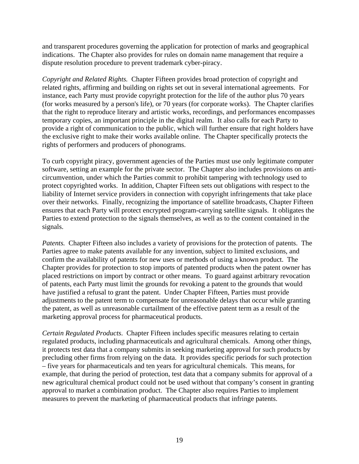and transparent procedures governing the application for protection of marks and geographical indications. The Chapter also provides for rules on domain name management that require a dispute resolution procedure to prevent trademark cyber-piracy.

*Copyright and Related Rights.* Chapter Fifteen provides broad protection of copyright and related rights, affirming and building on rights set out in several international agreements. For instance, each Party must provide copyright protection for the life of the author plus 70 years (for works measured by a person's life), or 70 years (for corporate works). The Chapter clarifies that the right to reproduce literary and artistic works, recordings, and performances encompasses temporary copies, an important principle in the digital realm. It also calls for each Party to provide a right of communication to the public, which will further ensure that right holders have the exclusive right to make their works available online. The Chapter specifically protects the rights of performers and producers of phonograms.

To curb copyright piracy, government agencies of the Parties must use only legitimate computer software, setting an example for the private sector. The Chapter also includes provisions on anticircumvention, under which the Parties commit to prohibit tampering with technology used to protect copyrighted works. In addition, Chapter Fifteen sets out obligations with respect to the liability of Internet service providers in connection with copyright infringements that take place over their networks. Finally, recognizing the importance of satellite broadcasts, Chapter Fifteen ensures that each Party will protect encrypted program-carrying satellite signals. It obligates the Parties to extend protection to the signals themselves, as well as to the content contained in the signals.

*Patents.* Chapter Fifteen also includes a variety of provisions for the protection of patents. The Parties agree to make patents available for any invention, subject to limited exclusions, and confirm the availability of patents for new uses or methods of using a known product. The Chapter provides for protection to stop imports of patented products when the patent owner has placed restrictions on import by contract or other means. To guard against arbitrary revocation of patents, each Party must limit the grounds for revoking a patent to the grounds that would have justified a refusal to grant the patent. Under Chapter Fifteen, Parties must provide adjustments to the patent term to compensate for unreasonable delays that occur while granting the patent, as well as unreasonable curtailment of the effective patent term as a result of the marketing approval process for pharmaceutical products.

*Certain Regulated Products*. Chapter Fifteen includes specific measures relating to certain regulated products, including pharmaceuticals and agricultural chemicals. Among other things, it protects test data that a company submits in seeking marketing approval for such products by precluding other firms from relying on the data. It provides specific periods for such protection – five years for pharmaceuticals and ten years for agricultural chemicals. This means, for example, that during the period of protection, test data that a company submits for approval of a new agricultural chemical product could not be used without that company's consent in granting approval to market a combination product. The Chapter also requires Parties to implement measures to prevent the marketing of pharmaceutical products that infringe patents.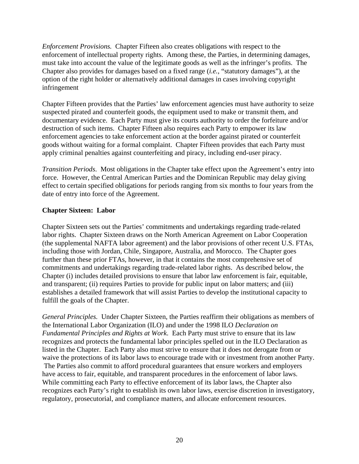*Enforcement Provisions.* Chapter Fifteen also creates obligations with respect to the enforcement of intellectual property rights. Among these, the Parties, in determining damages, must take into account the value of the legitimate goods as well as the infringer's profits. The Chapter also provides for damages based on a fixed range (*i.e.*, "statutory damages"), at the option of the right holder or alternatively additional damages in cases involving copyright infringement

Chapter Fifteen provides that the Parties' law enforcement agencies must have authority to seize suspected pirated and counterfeit goods, the equipment used to make or transmit them, and documentary evidence. Each Party must give its courts authority to order the forfeiture and/or destruction of such items. Chapter Fifteen also requires each Party to empower its law enforcement agencies to take enforcement action at the border against pirated or counterfeit goods without waiting for a formal complaint. Chapter Fifteen provides that each Party must apply criminal penalties against counterfeiting and piracy, including end-user piracy.

*Transition Periods*. Most obligations in the Chapter take effect upon the Agreement's entry into force. However, the Central American Parties and the Dominican Republic may delay giving effect to certain specified obligations for periods ranging from six months to four years from the date of entry into force of the Agreement.

# **Chapter Sixteen: Labor**

Chapter Sixteen sets out the Parties' commitments and undertakings regarding trade-related labor rights. Chapter Sixteen draws on the North American Agreement on Labor Cooperation (the supplemental NAFTA labor agreement) and the labor provisions of other recent U.S. FTAs, including those with Jordan, Chile, Singapore, Australia, and Morocco. The Chapter goes further than these prior FTAs, however, in that it contains the most comprehensive set of commitments and undertakings regarding trade-related labor rights. As described below, the Chapter (i) includes detailed provisions to ensure that labor law enforcement is fair, equitable, and transparent; (ii) requires Parties to provide for public input on labor matters; and (iii) establishes a detailed framework that will assist Parties to develop the institutional capacity to fulfill the goals of the Chapter.

*General Principles.* Under Chapter Sixteen, the Parties reaffirm their obligations as members of the International Labor Organization (ILO) and under the 1998 ILO *Declaration on Fundamental Principles and Rights at Work*. Each Party must strive to ensure that its law recognizes and protects the fundamental labor principles spelled out in the ILO Declaration as listed in the Chapter. Each Party also must strive to ensure that it does not derogate from or waive the protections of its labor laws to encourage trade with or investment from another Party. The Parties also commit to afford procedural guarantees that ensure workers and employers have access to fair, equitable, and transparent procedures in the enforcement of labor laws. While committing each Party to effective enforcement of its labor laws, the Chapter also recognizes each Party's right to establish its own labor laws, exercise discretion in investigatory, regulatory, prosecutorial, and compliance matters, and allocate enforcement resources.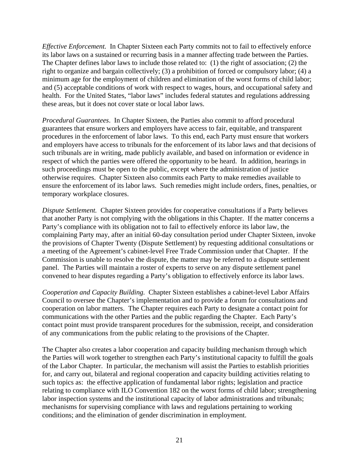*Effective Enforcement.* In Chapter Sixteen each Party commits not to fail to effectively enforce its labor laws on a sustained or recurring basis in a manner affecting trade between the Parties. The Chapter defines labor laws to include those related to: (1) the right of association; (2) the right to organize and bargain collectively; (3) a prohibition of forced or compulsory labor; (4) a minimum age for the employment of children and elimination of the worst forms of child labor; and (5) acceptable conditions of work with respect to wages, hours, and occupational safety and health. For the United States, "labor laws" includes federal statutes and regulations addressing these areas, but it does not cover state or local labor laws.

*Procedural Guarantees*. In Chapter Sixteen, the Parties also commit to afford procedural guarantees that ensure workers and employers have access to fair, equitable, and transparent procedures in the enforcement of labor laws. To this end, each Party must ensure that workers and employers have access to tribunals for the enforcement of its labor laws and that decisions of such tribunals are in writing, made publicly available, and based on information or evidence in respect of which the parties were offered the opportunity to be heard. In addition, hearings in such proceedings must be open to the public, except where the administration of justice otherwise requires. Chapter Sixteen also commits each Party to make remedies available to ensure the enforcement of its labor laws. Such remedies might include orders, fines, penalties, or temporary workplace closures.

*Dispute Settlement.* Chapter Sixteen provides for cooperative consultations if a Party believes that another Party is not complying with the obligations in this Chapter. If the matter concerns a Party's compliance with its obligation not to fail to effectively enforce its labor law, the complaining Party may, after an initial 60-day consultation period under Chapter Sixteen, invoke the provisions of Chapter Twenty (Dispute Settlement) by requesting additional consultations or a meeting of the Agreement's cabinet-level Free Trade Commission under that Chapter. If the Commission is unable to resolve the dispute, the matter may be referred to a dispute settlement panel. The Parties will maintain a roster of experts to serve on any dispute settlement panel convened to hear disputes regarding a Party's obligation to effectively enforce its labor laws.

*Cooperation and Capacity Building.* Chapter Sixteen establishes a cabinet-level Labor Affairs Council to oversee the Chapter's implementation and to provide a forum for consultations and cooperation on labor matters. The Chapter requires each Party to designate a contact point for communications with the other Parties and the public regarding the Chapter. Each Party's contact point must provide transparent procedures for the submission, receipt, and consideration of any communications from the public relating to the provisions of the Chapter.

The Chapter also creates a labor cooperation and capacity building mechanism through which the Parties will work together to strengthen each Party's institutional capacity to fulfill the goals of the Labor Chapter. In particular, the mechanism will assist the Parties to establish priorities for, and carry out, bilateral and regional cooperation and capacity building activities relating to such topics as: the effective application of fundamental labor rights; legislation and practice relating to compliance with ILO Convention 182 on the worst forms of child labor; strengthening labor inspection systems and the institutional capacity of labor administrations and tribunals; mechanisms for supervising compliance with laws and regulations pertaining to working conditions; and the elimination of gender discrimination in employment.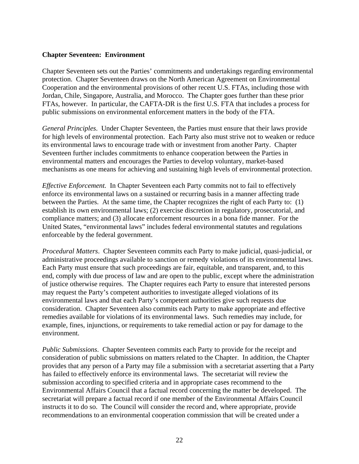#### **Chapter Seventeen: Environment**

Chapter Seventeen sets out the Parties' commitments and undertakings regarding environmental protection. Chapter Seventeen draws on the North American Agreement on Environmental Cooperation and the environmental provisions of other recent U.S. FTAs, including those with Jordan, Chile, Singapore, Australia, and Morocco. The Chapter goes further than these prior FTAs, however. In particular, the CAFTA-DR is the first U.S. FTA that includes a process for public submissions on environmental enforcement matters in the body of the FTA.

*General Principles*. Under Chapter Seventeen, the Parties must ensure that their laws provide for high levels of environmental protection. Each Party also must strive not to weaken or reduce its environmental laws to encourage trade with or investment from another Party. Chapter Seventeen further includes commitments to enhance cooperation between the Parties in environmental matters and encourages the Parties to develop voluntary, market-based mechanisms as one means for achieving and sustaining high levels of environmental protection.

*Effective Enforcement.* In Chapter Seventeen each Party commits not to fail to effectively enforce its environmental laws on a sustained or recurring basis in a manner affecting trade between the Parties. At the same time, the Chapter recognizes the right of each Party to: (1) establish its own environmental laws; (2) exercise discretion in regulatory, prosecutorial, and compliance matters; and (3) allocate enforcement resources in a bona fide manner. For the United States, "environmental laws" includes federal environmental statutes and regulations enforceable by the federal government.

*Procedural Matters*. Chapter Seventeen commits each Party to make judicial, quasi-judicial, or administrative proceedings available to sanction or remedy violations of its environmental laws. Each Party must ensure that such proceedings are fair, equitable, and transparent, and, to this end, comply with due process of law and are open to the public, except where the administration of justice otherwise requires. The Chapter requires each Party to ensure that interested persons may request the Party's competent authorities to investigate alleged violations of its environmental laws and that each Party's competent authorities give such requests due consideration. Chapter Seventeen also commits each Party to make appropriate and effective remedies available for violations of its environmental laws. Such remedies may include, for example, fines, injunctions, or requirements to take remedial action or pay for damage to the environment.

*Public Submissions*. Chapter Seventeen commits each Party to provide for the receipt and consideration of public submissions on matters related to the Chapter. In addition, the Chapter provides that any person of a Party may file a submission with a secretariat asserting that a Party has failed to effectively enforce its environmental laws. The secretariat will review the submission according to specified criteria and in appropriate cases recommend to the Environmental Affairs Council that a factual record concerning the matter be developed. The secretariat will prepare a factual record if one member of the Environmental Affairs Council instructs it to do so. The Council will consider the record and, where appropriate, provide recommendations to an environmental cooperation commission that will be created under a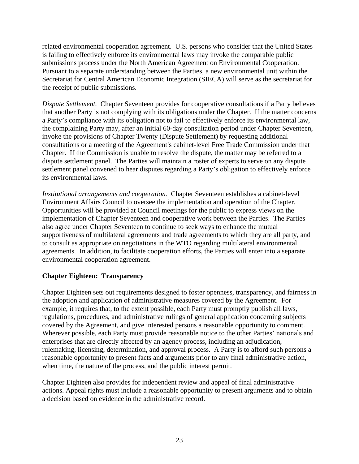related environmental cooperation agreement. U.S. persons who consider that the United States is failing to effectively enforce its environmental laws may invoke the comparable public submissions process under the North American Agreement on Environmental Cooperation. Pursuant to a separate understanding between the Parties, a new environmental unit within the Secretariat for Central American Economic Integration (SIECA) will serve as the secretariat for the receipt of public submissions.

*Dispute Settlement.* Chapter Seventeen provides for cooperative consultations if a Party believes that another Party is not complying with its obligations under the Chapter. If the matter concerns a Party's compliance with its obligation not to fail to effectively enforce its environmental law, the complaining Party may, after an initial 60-day consultation period under Chapter Seventeen, invoke the provisions of Chapter Twenty (Dispute Settlement) by requesting additional consultations or a meeting of the Agreement's cabinet-level Free Trade Commission under that Chapter. If the Commission is unable to resolve the dispute, the matter may be referred to a dispute settlement panel. The Parties will maintain a roster of experts to serve on any dispute settlement panel convened to hear disputes regarding a Party's obligation to effectively enforce its environmental laws.

*Institutional arrangements and cooperation.* Chapter Seventeen establishes a cabinet-level Environment Affairs Council to oversee the implementation and operation of the Chapter. Opportunities will be provided at Council meetings for the public to express views on the implementation of Chapter Seventeen and cooperative work between the Parties. The Parties also agree under Chapter Seventeen to continue to seek ways to enhance the mutual supportiveness of multilateral agreements and trade agreements to which they are all party, and to consult as appropriate on negotiations in the WTO regarding multilateral environmental agreements. In addition, to facilitate cooperation efforts, the Parties will enter into a separate environmental cooperation agreement.

# **Chapter Eighteen: Transparency**

Chapter Eighteen sets out requirements designed to foster openness, transparency, and fairness in the adoption and application of administrative measures covered by the Agreement. For example, it requires that, to the extent possible, each Party must promptly publish all laws, regulations, procedures, and administrative rulings of general application concerning subjects covered by the Agreement, and give interested persons a reasonable opportunity to comment. Wherever possible, each Party must provide reasonable notice to the other Parties' nationals and enterprises that are directly affected by an agency process, including an adjudication, rulemaking, licensing, determination, and approval process. A Party is to afford such persons a reasonable opportunity to present facts and arguments prior to any final administrative action, when time, the nature of the process, and the public interest permit.

Chapter Eighteen also provides for independent review and appeal of final administrative actions. Appeal rights must include a reasonable opportunity to present arguments and to obtain a decision based on evidence in the administrative record.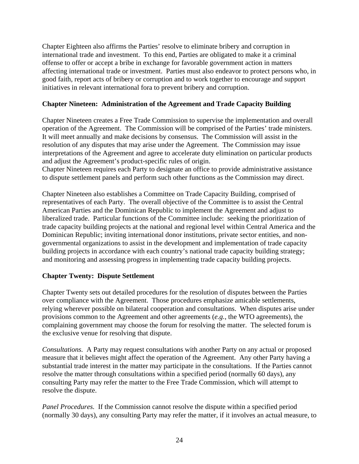Chapter Eighteen also affirms the Parties' resolve to eliminate bribery and corruption in international trade and investment. To this end, Parties are obligated to make it a criminal offense to offer or accept a bribe in exchange for favorable government action in matters affecting international trade or investment. Parties must also endeavor to protect persons who, in good faith, report acts of bribery or corruption and to work together to encourage and support initiatives in relevant international fora to prevent bribery and corruption.

# **Chapter Nineteen: Administration of the Agreement and Trade Capacity Building**

Chapter Nineteen creates a Free Trade Commission to supervise the implementation and overall operation of the Agreement. The Commission will be comprised of the Parties' trade ministers. It will meet annually and make decisions by consensus. The Commission will assist in the resolution of any disputes that may arise under the Agreement. The Commission may issue interpretations of the Agreement and agree to accelerate duty elimination on particular products and adjust the Agreement's product-specific rules of origin.

Chapter Nineteen requires each Party to designate an office to provide administrative assistance to dispute settlement panels and perform such other functions as the Commission may direct.

Chapter Nineteen also establishes a Committee on Trade Capacity Building, comprised of representatives of each Party. The overall objective of the Committee is to assist the Central American Parties and the Dominican Republic to implement the Agreement and adjust to liberalized trade. Particular functions of the Committee include: seeking the prioritization of trade capacity building projects at the national and regional level within Central America and the Dominican Republic; inviting international donor institutions, private sector entities, and nongovernmental organizations to assist in the development and implementation of trade capacity building projects in accordance with each country's national trade capacity building strategy; and monitoring and assessing progress in implementing trade capacity building projects.

# **Chapter Twenty: Dispute Settlement**

Chapter Twenty sets out detailed procedures for the resolution of disputes between the Parties over compliance with the Agreement. Those procedures emphasize amicable settlements, relying wherever possible on bilateral cooperation and consultations. When disputes arise under provisions common to the Agreement and other agreements (*e.g.*, the WTO agreements), the complaining government may choose the forum for resolving the matter. The selected forum is the exclusive venue for resolving that dispute.

*Consultations.* A Party may request consultations with another Party on any actual or proposed measure that it believes might affect the operation of the Agreement. Any other Party having a substantial trade interest in the matter may participate in the consultations. If the Parties cannot resolve the matter through consultations within a specified period (normally 60 days), any consulting Party may refer the matter to the Free Trade Commission, which will attempt to resolve the dispute.

*Panel Procedures.* If the Commission cannot resolve the dispute within a specified period (normally 30 days), any consulting Party may refer the matter, if it involves an actual measure, to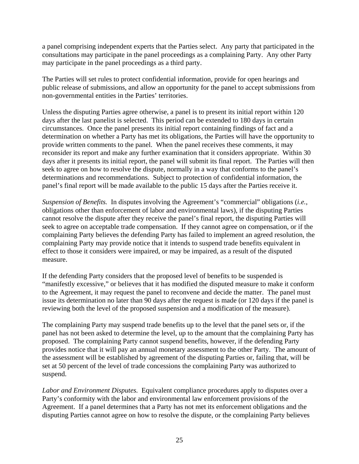a panel comprising independent experts that the Parties select. Any party that participated in the consultations may participate in the panel proceedings as a complaining Party. Any other Party may participate in the panel proceedings as a third party.

The Parties will set rules to protect confidential information, provide for open hearings and public release of submissions, and allow an opportunity for the panel to accept submissions from non-governmental entities in the Parties' territories.

Unless the disputing Parties agree otherwise, a panel is to present its initial report within 120 days after the last panelist is selected. This period can be extended to 180 days in certain circumstances. Once the panel presents its initial report containing findings of fact and a determination on whether a Party has met its obligations, the Parties will have the opportunity to provide written comments to the panel. When the panel receives these comments, it may reconsider its report and make any further examination that it considers appropriate. Within 30 days after it presents its initial report, the panel will submit its final report. The Parties will then seek to agree on how to resolve the dispute, normally in a way that conforms to the panel's determinations and recommendations. Subject to protection of confidential information, the panel's final report will be made available to the public 15 days after the Parties receive it.

*Suspension of Benefits.* In disputes involving the Agreement's "commercial" obligations (*i.e.*, obligations other than enforcement of labor and environmental laws), if the disputing Parties cannot resolve the dispute after they receive the panel's final report, the disputing Parties will seek to agree on acceptable trade compensation. If they cannot agree on compensation, or if the complaining Party believes the defending Party has failed to implement an agreed resolution, the complaining Party may provide notice that it intends to suspend trade benefits equivalent in effect to those it considers were impaired, or may be impaired, as a result of the disputed measure.

If the defending Party considers that the proposed level of benefits to be suspended is "manifestly excessive," or believes that it has modified the disputed measure to make it conform to the Agreement, it may request the panel to reconvene and decide the matter. The panel must issue its determination no later than 90 days after the request is made (or 120 days if the panel is reviewing both the level of the proposed suspension and a modification of the measure).

The complaining Party may suspend trade benefits up to the level that the panel sets or, if the panel has not been asked to determine the level, up to the amount that the complaining Party has proposed. The complaining Party cannot suspend benefits, however, if the defending Party provides notice that it will pay an annual monetary assessment to the other Party. The amount of the assessment will be established by agreement of the disputing Parties or, failing that, will be set at 50 percent of the level of trade concessions the complaining Party was authorized to suspend.

*Labor and Environment Disputes.* Equivalent compliance procedures apply to disputes over a Party's conformity with the labor and environmental law enforcement provisions of the Agreement. If a panel determines that a Party has not met its enforcement obligations and the disputing Parties cannot agree on how to resolve the dispute, or the complaining Party believes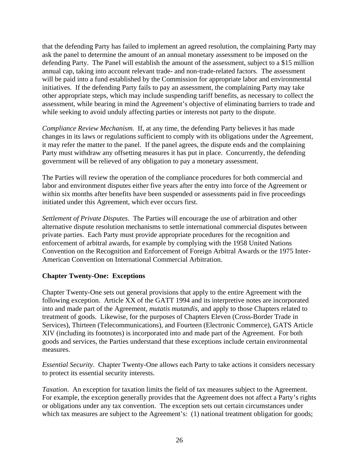that the defending Party has failed to implement an agreed resolution, the complaining Party may ask the panel to determine the amount of an annual monetary assessment to be imposed on the defending Party. The Panel will establish the amount of the assessment, subject to a \$15 million annual cap, taking into account relevant trade- and non-trade-related factors. The assessment will be paid into a fund established by the Commission for appropriate labor and environmental initiatives. If the defending Party fails to pay an assessment, the complaining Party may take other appropriate steps, which may include suspending tariff benefits, as necessary to collect the assessment, while bearing in mind the Agreement's objective of eliminating barriers to trade and while seeking to avoid unduly affecting parties or interests not party to the dispute.

*Compliance Review Mechanism.* If, at any time, the defending Party believes it has made changes in its laws or regulations sufficient to comply with its obligations under the Agreement, it may refer the matter to the panel. If the panel agrees, the dispute ends and the complaining Party must withdraw any offsetting measures it has put in place. Concurrently, the defending government will be relieved of any obligation to pay a monetary assessment.

The Parties will review the operation of the compliance procedures for both commercial and labor and environment disputes either five years after the entry into force of the Agreement or within six months after benefits have been suspended or assessments paid in five proceedings initiated under this Agreement, which ever occurs first.

*Settlement of Private Disputes*. The Parties will encourage the use of arbitration and other alternative dispute resolution mechanisms to settle international commercial disputes between private parties. Each Party must provide appropriate procedures for the recognition and enforcement of arbitral awards, for example by complying with the 1958 United Nations Convention on the Recognition and Enforcement of Foreign Arbitral Awards or the 1975 Inter-American Convention on International Commercial Arbitration.

# **Chapter Twenty-One: Exceptions**

Chapter Twenty-One sets out general provisions that apply to the entire Agreement with the following exception. Article XX of the GATT 1994 and its interpretive notes are incorporated into and made part of the Agreement, *mutatis mutandis*, and apply to those Chapters related to treatment of goods. Likewise, for the purposes of Chapters Eleven (Cross-Border Trade in Services), Thirteen (Telecommunications), and Fourteen (Electronic Commerce), GATS Article XIV (including its footnotes) is incorporated into and made part of the Agreement. For both goods and services, the Parties understand that these exceptions include certain environmental measures.

*Essential Security*. Chapter Twenty-One allows each Party to take actions it considers necessary to protect its essential security interests.

*Taxation*. An exception for taxation limits the field of tax measures subject to the Agreement. For example, the exception generally provides that the Agreement does not affect a Party's rights or obligations under any tax convention. The exception sets out certain circumstances under which tax measures are subject to the Agreement's: (1) national treatment obligation for goods;